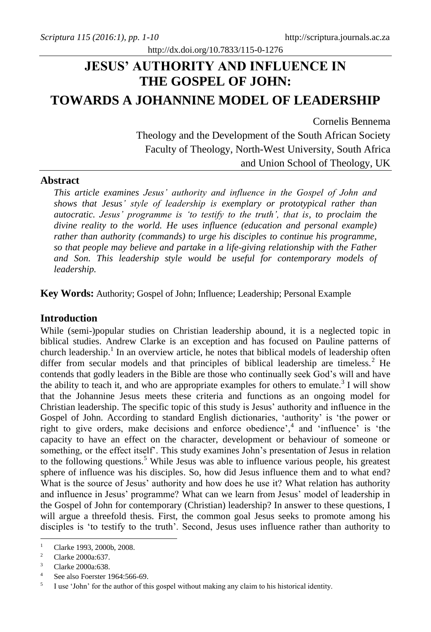# **JESUS' AUTHORITY AND INFLUENCE IN THE GOSPEL OF JOHN: TOWARDS A JOHANNINE MODEL OF LEADERSHIP**

http://dx.doi.org/10.7833/115-0-1276

Cornelis Bennema Theology and the Development of the South African Society Faculty of Theology, North-West University, South Africa and Union School of Theology, UK

## **Abstract**

*This article examines Jesus' authority and influence in the Gospel of John and shows that Jesus' style of leadership is exemplary or prototypical rather than autocratic. Jesus' programme is 'to testify to the truth', that is, to proclaim the divine reality to the world. He uses influence (education and personal example) rather than authority (commands) to urge his disciples to continue his programme, so that people may believe and partake in a life-giving relationship with the Father and Son. This leadership style would be useful for contemporary models of leadership.*

**Key Words:** Authority; Gospel of John; Influence; Leadership; Personal Example

## **Introduction**

While (semi-)popular studies on Christian leadership abound, it is a neglected topic in biblical studies. Andrew Clarke is an exception and has focused on Pauline patterns of church leadership.<sup>1</sup> In an overview article, he notes that biblical models of leadership often differ from secular models and that principles of biblical leadership are timeless.<sup>2</sup> He contends that godly leaders in the Bible are those who continually seek God's will and have the ability to teach it, and who are appropriate examples for others to emulate.<sup>3</sup> I will show that the Johannine Jesus meets these criteria and functions as an ongoing model for Christian leadership. The specific topic of this study is Jesus' authority and influence in the Gospel of John. According to standard English dictionaries, 'authority' is 'the power or right to give orders, make decisions and enforce obedience', 4 and 'influence' is 'the capacity to have an effect on the character, development or behaviour of someone or something, or the effect itself'. This study examines John's presentation of Jesus in relation to the following questions. <sup>5</sup> While Jesus was able to influence various people, his greatest sphere of influence was his disciples. So, how did Jesus influence them and to what end? What is the source of Jesus' authority and how does he use it? What relation has authority and influence in Jesus' programme? What can we learn from Jesus' model of leadership in the Gospel of John for contemporary (Christian) leadership? In answer to these questions, I will argue a threefold thesis. First, the common goal Jesus seeks to promote among his disciples is 'to testify to the truth'. Second, Jesus uses influence rather than authority to

 $\mathbf{1}$ <sup>1</sup> Clarke 1993, 2000b, 2008.

<sup>&</sup>lt;sup>2</sup> Clarke 2000a:637.

Clarke 2000a:638.

<sup>4</sup> See also Foerster 1964:566-69.

<sup>5</sup> I use 'John' for the author of this gospel without making any claim to his historical identity.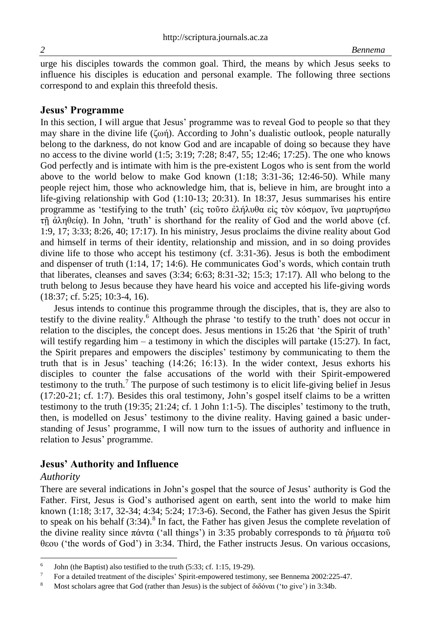urge his disciples towards the common goal. Third, the means by which Jesus seeks to influence his disciples is education and personal example. The following three sections correspond to and explain this threefold thesis.

### **Jesus' Programme**

In this section, I will argue that Jesus' programme was to reveal God to people so that they may share in the divine life ( $\zeta$ ωή). According to John's dualistic outlook, people naturally belong to the darkness, do not know God and are incapable of doing so because they have no access to the divine world (1:5; 3:19; 7:28; 8:47, 55; 12:46; 17:25). The one who knows God perfectly and is intimate with him is the pre-existent Logos who is sent from the world above to the world below to make God known (1:18; 3:31-36; 12:46-50). While many people reject him, those who acknowledge him, that is, believe in him, are brought into a life-giving relationship with God (1:10-13; 20:31). In 18:37, Jesus summarises his entire programme as 'testifying to the truth' (εἰς τοῦτο ἐλήλυθα εἰς τὸν κόσμον, ἵνα μαρτυρήσω τῇ ἀληθείᾳ). In John, 'truth' is shorthand for the reality of God and the world above (cf. 1:9, 17; 3:33; 8:26, 40; 17:17). In his ministry, Jesus proclaims the divine reality about God and himself in terms of their identity, relationship and mission, and in so doing provides divine life to those who accept his testimony (cf. 3:31-36). Jesus is both the embodiment and dispenser of truth (1:14, 17; 14:6). He communicates God's words, which contain truth that liberates, cleanses and saves (3:34; 6:63; 8:31-32; 15:3; 17:17). All who belong to the truth belong to Jesus because they have heard his voice and accepted his life-giving words (18:37; cf. 5:25; 10:3-4, 16).

Jesus intends to continue this programme through the disciples, that is, they are also to testify to the divine reality. <sup>6</sup> Although the phrase 'to testify to the truth' does not occur in relation to the disciples, the concept does. Jesus mentions in 15:26 that 'the Spirit of truth' will testify regarding him – a testimony in which the disciples will partake (15:27). In fact, the Spirit prepares and empowers the disciples' testimony by communicating to them the truth that is in Jesus' teaching (14:26; 16:13). In the wider context, Jesus exhorts his disciples to counter the false accusations of the world with their Spirit-empowered testimony to the truth.<sup>7</sup> The purpose of such testimony is to elicit life-giving belief in Jesus (17:20-21; cf. 1:7). Besides this oral testimony, John's gospel itself claims to be a written testimony to the truth (19:35; 21:24; cf. 1 John 1:1-5). The disciples' testimony to the truth, then, is modelled on Jesus' testimony to the divine reality. Having gained a basic understanding of Jesus' programme, I will now turn to the issues of authority and influence in relation to Jesus' programme.

## **Jesus' Authority and Influence**

#### *Authority*

l

There are several indications in John's gospel that the source of Jesus' authority is God the Father. First, Jesus is God's authorised agent on earth, sent into the world to make him known (1:18; 3:17, 32-34; 4:34; 5:24; 17:3-6). Second, the Father has given Jesus the Spirit to speak on his behalf  $(3:34)$ .<sup>8</sup> In fact, the Father has given Jesus the complete revelation of the divine reality since πάντα ('all things') in 3:35 probably corresponds to τὰ ῥήματα τοῦ θεου ('the words of God') in 3:34. Third, the Father instructs Jesus. On various occasions,

<sup>6</sup> John (the Baptist) also testified to the truth (5:33; cf. 1:15, 19-29).

<sup>7</sup> For a detailed treatment of the disciples' Spirit-empowered testimony, see Bennema 2002:225-47.

<sup>8</sup> Most scholars agree that God (rather than Jesus) is the subject of διδόναι ('to give') in 3:34b.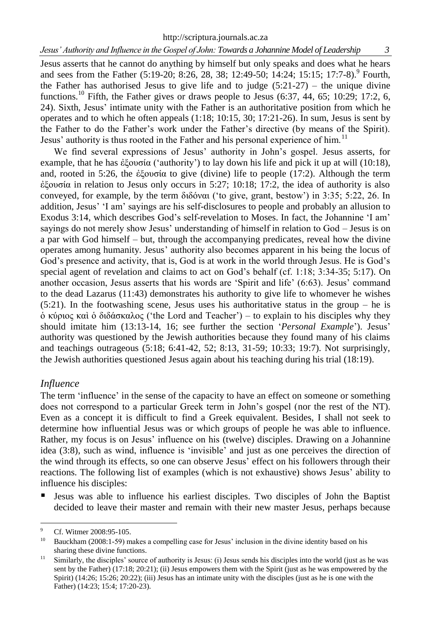http://scriptura.journals.ac.za

Jesus asserts that he cannot do anything by himself but only speaks and does what he hears and sees from the Father (5:19-20; 8:26, 28, 38; 12:49-50; 14:24; 15:15; 17:7-8). Fourth, the Father has authorised Jesus to give life and to judge  $(5:21-27)$  – the unique divine functions.<sup>10</sup> Fifth, the Father gives or draws people to Jesus  $(6:37, 44, 65; 10:29; 17:2, 6,$ 24). Sixth, Jesus' intimate unity with the Father is an authoritative position from which he operates and to which he often appeals  $(1:18; 10:15, 30; 17:21-26)$ . In sum, Jesus is sent by the Father to do the Father's work under the Father's directive (by means of the Spirit). Jesus' authority is thus rooted in the Father and his personal experience of him.<sup>11</sup>

We find several expressions of Jesus' authority in John's gospel. Jesus asserts, for example, that he has ἐξουσία ('authority') to lay down his life and pick it up at will (10:18), and, rooted in 5:26, the ἐξουσία to give (divine) life to people (17:2). Although the term ἐξουσία in relation to Jesus only occurs in 5:27; 10:18; 17:2, the idea of authority is also conveyed, for example, by the term διδόναι ('to give, grant, bestow') in 3:35; 5:22, 26. In addition, Jesus' 'I am' sayings are his self-disclosures to people and probably an allusion to Exodus 3:14, which describes God's self-revelation to Moses. In fact, the Johannine 'I am' sayings do not merely show Jesus' understanding of himself in relation to God – Jesus is on a par with God himself – but, through the accompanying predicates, reveal how the divine operates among humanity. Jesus' authority also becomes apparent in his being the locus of God's presence and activity, that is, God is at work in the world through Jesus. He is God's special agent of revelation and claims to act on God's behalf (cf. 1:18; 3:34-35; 5:17). On another occasion, Jesus asserts that his words are 'Spirit and life' (6:63). Jesus' command to the dead Lazarus (11:43) demonstrates his authority to give life to whomever he wishes  $(5:21)$ . In the footwashing scene, Jesus uses his authoritative status in the group – he is ὁ κύριος καὶ ὁ διδάσκαλος ('the Lord and Teacher') – to explain to his disciples why they should imitate him (13:13-14, 16; see further the section '*Personal Example*'). Jesus' authority was questioned by the Jewish authorities because they found many of his claims and teachings outrageous (5:18; 6:41-42, 52; 8:13, 31-59; 10:33; 19:7). Not surprisingly, the Jewish authorities questioned Jesus again about his teaching during his trial (18:19).

## *Influence*

The term 'influence' in the sense of the capacity to have an effect on someone or something does not correspond to a particular Greek term in John's gospel (nor the rest of the NT). Even as a concept it is difficult to find a Greek equivalent. Besides, I shall not seek to determine how influential Jesus was or which groups of people he was able to influence. Rather, my focus is on Jesus' influence on his (twelve) disciples. Drawing on a Johannine idea (3:8), such as wind, influence is 'invisible' and just as one perceives the direction of the wind through its effects, so one can observe Jesus' effect on his followers through their reactions. The following list of examples (which is not exhaustive) shows Jesus' ability to influence his disciples:

 Jesus was able to influence his earliest disciples. Two disciples of John the Baptist decided to leave their master and remain with their new master Jesus, perhaps because

 $\alpha$ <sup>9</sup> Cf. Witmer 2008:95-105.

<sup>10</sup> Bauckham (2008:1-59) makes a compelling case for Jesus' inclusion in the divine identity based on his sharing these divine functions.

<sup>&</sup>lt;sup>11</sup> Similarly, the disciples' source of authority is Jesus: (i) Jesus sends his disciples into the world (just as he was sent by the Father) (17:18; 20:21); (ii) Jesus empowers them with the Spirit (just as he was empowered by the Spirit) (14:26; 15:26; 20:22); (iii) Jesus has an intimate unity with the disciples (just as he is one with the Father) (14:23; 15:4; 17:20-23).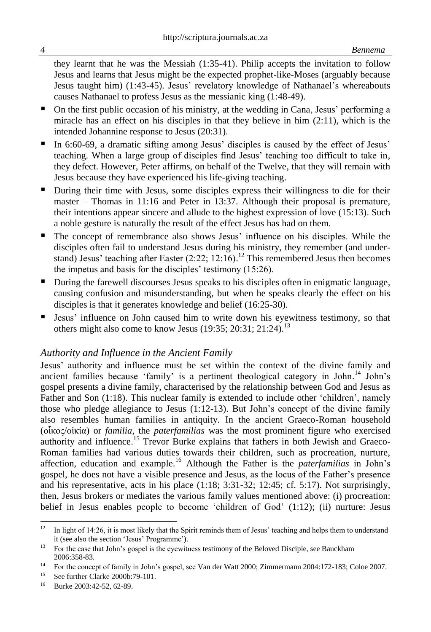they learnt that he was the Messiah (1:35-41). Philip accepts the invitation to follow Jesus and learns that Jesus might be the expected prophet-like-Moses (arguably because Jesus taught him) (1:43-45). Jesus' revelatory knowledge of Nathanael's whereabouts causes Nathanael to profess Jesus as the messianic king (1:48-49).

- On the first public occasion of his ministry, at the wedding in Cana, Jesus' performing a miracle has an effect on his disciples in that they believe in him  $(2:11)$ , which is the intended Johannine response to Jesus (20:31).
- In 6:60-69, a dramatic sifting among Jesus' disciples is caused by the effect of Jesus' teaching. When a large group of disciples find Jesus' teaching too difficult to take in, they defect. However, Peter affirms, on behalf of the Twelve, that they will remain with Jesus because they have experienced his life-giving teaching.
- During their time with Jesus, some disciples express their willingness to die for their master – Thomas in 11:16 and Peter in 13:37. Although their proposal is premature, their intentions appear sincere and allude to the highest expression of love (15:13). Such a noble gesture is naturally the result of the effect Jesus has had on them.
- The concept of remembrance also shows Jesus' influence on his disciples. While the disciples often fail to understand Jesus during his ministry, they remember (and understand) Jesus' teaching after Easter  $(2.22; 12.16)$ .<sup>12</sup> This remembered Jesus then becomes the impetus and basis for the disciples' testimony (15:26).
- During the farewell discourses Jesus speaks to his disciples often in enigmatic language, causing confusion and misunderstanding, but when he speaks clearly the effect on his disciples is that it generates knowledge and belief (16:25-30).
- Jesus' influence on John caused him to write down his eyewitness testimony, so that others might also come to know Jesus (19:35; 20:31; 21:24).<sup>13</sup>

## *Authority and Influence in the Ancient Family*

Jesus' authority and influence must be set within the context of the divine family and ancient families because 'family' is a pertinent theological category in John.<sup>14</sup> John's gospel presents a divine family, characterised by the relationship between God and Jesus as Father and Son (1:18). This nuclear family is extended to include other 'children', namely those who pledge allegiance to Jesus (1:12-13). But John's concept of the divine family also resembles human families in antiquity. In the ancient Graeco-Roman household (οἶκος/οἰκία) or *familia*, the *paterfamilias* was the most prominent figure who exercised authority and influence. <sup>15</sup> Trevor Burke explains that fathers in both Jewish and Graeco-Roman families had various duties towards their children, such as procreation, nurture, affection, education and example.<sup>16</sup> Although the Father is the *paterfamilias* in John's gospel, he does not have a visible presence and Jesus, as the locus of the Father's presence and his representative, acts in his place  $(1:18; 3:31-32; 12:45; cf. 5:17)$ . Not surprisingly, then, Jesus brokers or mediates the various family values mentioned above: (i) procreation: belief in Jesus enables people to become 'children of God' (1:12); (ii) nurture: Jesus

l  $12$  In light of 14:26, it is most likely that the Spirit reminds them of Jesus' teaching and helps them to understand it (see also the section 'Jesus' Programme').

<sup>&</sup>lt;sup>13</sup> For the case that John's gospel is the eyewitness testimony of the Beloved Disciple, see Bauckham 2006:358-83.

<sup>&</sup>lt;sup>14</sup> For the concept of family in John's gospel, see Van der Watt 2000; Zimmermann 2004:172-183; Coloe 2007.

<sup>&</sup>lt;sup>15</sup> See further Clarke 2000b:79-101.<br><sup>16</sup> Purke 2003:42.52.62.80

Burke 2003:42-52, 62-89.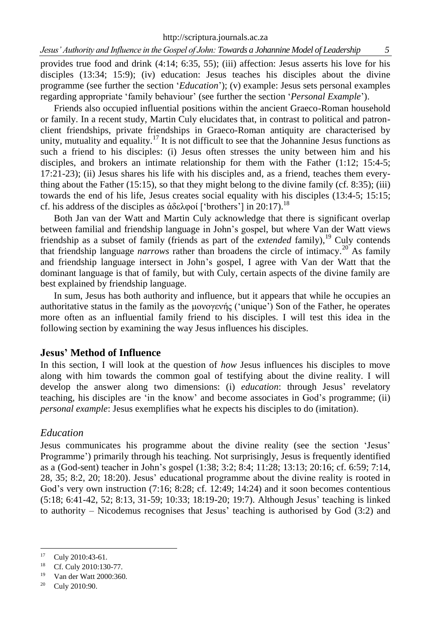provides true food and drink (4:14; 6:35, 55); (iii) affection: Jesus asserts his love for his disciples (13:34; 15:9); (iv) education: Jesus teaches his disciples about the divine programme (see further the section '*Education*'); (v) example: Jesus sets personal examples regarding appropriate 'family behaviour' (see further the section '*Personal Example*').

Friends also occupied influential positions within the ancient Graeco-Roman household or family. In a recent study, Martin Culy elucidates that, in contrast to political and patronclient friendships, private friendships in Graeco-Roman antiquity are characterised by unity, mutuality and equality.<sup>17</sup> It is not difficult to see that the Johannine Jesus functions as such a friend to his disciples: (i) Jesus often stresses the unity between him and his disciples, and brokers an intimate relationship for them with the Father (1:12; 15:4-5; 17:21-23); (ii) Jesus shares his life with his disciples and, as a friend, teaches them everything about the Father  $(15:15)$ , so that they might belong to the divine family  $(cf. 8:35)$ ; (iii) towards the end of his life, Jesus creates social equality with his disciples (13:4-5; 15:15; cf. his address of the disciples as ἀδελφοί ['brothers'] in 20:17).<sup>18</sup>

Both Jan van der Watt and Martin Culy acknowledge that there is significant overlap between familial and friendship language in John's gospel, but where Van der Watt views friendship as a subset of family (friends as part of the *extended* family),<sup>19</sup> Culy contends that friendship language *narrows* rather than broadens the circle of intimacy.<sup>20</sup> As family and friendship language intersect in John's gospel, I agree with Van der Watt that the dominant language is that of family, but with Culy, certain aspects of the divine family are best explained by friendship language.

In sum, Jesus has both authority and influence, but it appears that while he occupies an authoritative status in the family as the μονογενής ('unique') Son of the Father, he operates more often as an influential family friend to his disciples. I will test this idea in the following section by examining the way Jesus influences his disciples.

#### **Jesus' Method of Influence**

In this section, I will look at the question of *how* Jesus influences his disciples to move along with him towards the common goal of testifying about the divine reality. I will develop the answer along two dimensions: (i) *education*: through Jesus' revelatory teaching, his disciples are 'in the know' and become associates in God's programme; (ii) *personal example*: Jesus exemplifies what he expects his disciples to do (imitation).

#### *Education*

Jesus communicates his programme about the divine reality (see the section 'Jesus' Programme') primarily through his teaching. Not surprisingly, Jesus is frequently identified as a (God-sent) teacher in John's gospel (1:38; 3:2; 8:4; 11:28; 13:13; 20:16; cf. 6:59; 7:14, 28, 35; 8:2, 20; 18:20). Jesus' educational programme about the divine reality is rooted in God's very own instruction  $(7.16; 8.28; cf. 12.49; 14.24)$  and it soon becomes contentious (5:18; 6:41-42, 52; 8:13, 31-59; 10:33; 18:19-20; 19:7). Although Jesus' teaching is linked to authority – Nicodemus recognises that Jesus' teaching is authorised by God (3:2) and

<sup>17</sup> Culy 2010:43-61.

<sup>&</sup>lt;sup>18</sup> Cf. Culy 2010:130-77.

Van der Watt 2000:360.

 $20$  Culy 2010:90.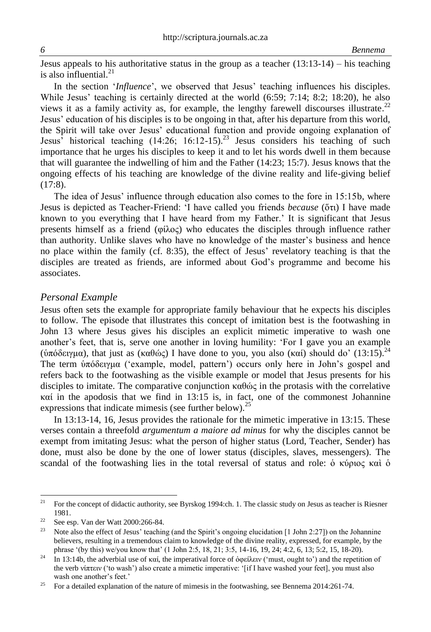Jesus appeals to his authoritative status in the group as a teacher  $(13:13-14)$  – his teaching is also influential. $^{21}$ 

In the section '*Influence*', we observed that Jesus' teaching influences his disciples. While Jesus' teaching is certainly directed at the world  $(6:59; 7:14; 8:2; 18:20)$ , he also views it as a family activity as, for example, the lengthy farewell discourses illustrate.<sup>22</sup> Jesus' education of his disciples is to be ongoing in that, after his departure from this world, the Spirit will take over Jesus' educational function and provide ongoing explanation of Jesus' historical teaching  $(14:26; 16:12-15).^{23}$  Jesus considers his teaching of such importance that he urges his disciples to keep it and to let his words dwell in them because that will guarantee the indwelling of him and the Father (14:23; 15:7). Jesus knows that the ongoing effects of his teaching are knowledge of the divine reality and life-giving belief (17:8).

The idea of Jesus' influence through education also comes to the fore in 15:15b, where Jesus is depicted as Teacher-Friend: 'I have called you friends *because* (ὅτι) I have made known to you everything that I have heard from my Father.' It is significant that Jesus presents himself as a friend (φίλος) who educates the disciples through influence rather than authority. Unlike slaves who have no knowledge of the master's business and hence no place within the family (cf. 8:35), the effect of Jesus' revelatory teaching is that the disciples are treated as friends, are informed about God's programme and become his associates.

#### *Personal Example*

Jesus often sets the example for appropriate family behaviour that he expects his disciples to follow. The episode that illustrates this concept of imitation best is the footwashing in John 13 where Jesus gives his disciples an explicit mimetic imperative to wash one another's feet, that is, serve one another in loving humility: 'For I gave you an example (ὑπόδειγμα), that just as (καθώς) I have done to you, you also (καί) should do' (13:15).<sup>24</sup> The term ὑπόδειγμα ('example, model, pattern') occurs only here in John's gospel and refers back to the footwashing as the visible example or model that Jesus presents for his disciples to imitate. The comparative conjunction  $\kappa \alpha \theta \dot{\alpha}$  in the protasis with the correlative καί in the apodosis that we find in 13:15 is, in fact, one of the commonest Johannine expressions that indicate mimesis (see further below).<sup>25</sup>

In 13:13-14, 16, Jesus provides the rationale for the mimetic imperative in 13:15. These verses contain a threefold *argumentum a maiore ad minus* for why the disciples cannot be exempt from imitating Jesus: what the person of higher status (Lord, Teacher, Sender) has done, must also be done by the one of lower status (disciples, slaves, messengers). The scandal of the footwashing lies in the total reversal of status and role: ὁ κύριος καὶ ὁ

 $21$ <sup>21</sup> For the concept of didactic authority, see Byrskog 1994:ch. 1. The classic study on Jesus as teacher is Riesner 1981.

<sup>&</sup>lt;sup>22</sup> See esp. Van der Watt 2000:266-84.

Note also the effect of Jesus' teaching (and the Spirit's ongoing elucidation [1 John 2:27]) on the Johannine believers, resulting in a tremendous claim to knowledge of the divine reality, expressed, for example, by the phrase '(by this) we/you know that' (1 John 2:5, 18, 21; 3:5, 14-16, 19, 24; 4:2, 6, 13; 5:2, 15, 18-20).

<sup>&</sup>lt;sup>24</sup> In 13:14b, the adverbial use of καί, the imperatival force of ὀφείλειν ('must, ought to') and the repetition of the verb νίπτειν ('to wash') also create a mimetic imperative: '[if I have washed your feet], you must also wash one another's feet.'

<sup>&</sup>lt;sup>25</sup> For a detailed explanation of the nature of mimesis in the footwashing, see Bennema 2014:261-74.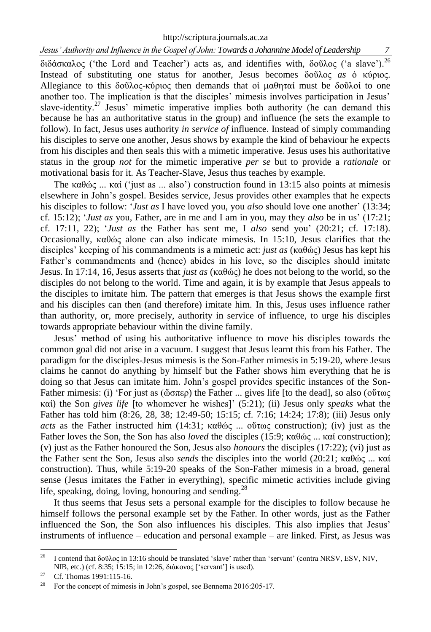http://scriptura.journals.ac.za

διδάσκαλος ('the Lord and Teacher') acts as, and identifies with, δοῦλος ('a slave').<sup>26</sup> Instead of substituting one status for another, Jesus becomes δοῦλος *as* ὁ κύριος. Allegiance to this δοῦλος-κύριος then demands that οἱ μαθηταί must be δοῦλοί to one another too. The implication is that the disciples' mimesis involves participation in Jesus' slave-identity.<sup>27</sup> Jesus' mimetic imperative implies both authority (he can demand this because he has an authoritative status in the group) and influence (he sets the example to follow). In fact, Jesus uses authority *in service of* influence. Instead of simply commanding his disciples to serve one another, Jesus shows by example the kind of behaviour he expects from his disciples and then seals this with a mimetic imperative. Jesus uses his authoritative status in the group *not* for the mimetic imperative *per se* but to provide a *rationale* or motivational basis for it. As Teacher-Slave, Jesus thus teaches by example.

The καθώς ... καί ('just as ... also') construction found in 13:15 also points at mimesis elsewhere in John's gospel. Besides service, Jesus provides other examples that he expects his disciples to follow: '*Just as* I have loved you, you *also* should love one another' (13:34; cf. 15:12); '*Just as* you, Father, are in me and I am in you, may they *also* be in us' (17:21; cf. 17:11, 22); '*Just as* the Father has sent me, I *also* send you' (20:21; cf. 17:18). Occasionally, καθώς alone can also indicate mimesis. In 15:10, Jesus clarifies that the disciples' keeping of his commandments is a mimetic act: *just as* (καθώς) Jesus has kept his Father's commandments and (hence) abides in his love, so the disciples should imitate Jesus. In 17:14, 16, Jesus asserts that *just as* (καθώς) he does not belong to the world, so the disciples do not belong to the world. Time and again, it is by example that Jesus appeals to the disciples to imitate him. The pattern that emerges is that Jesus shows the example first and his disciples can then (and therefore) imitate him. In this, Jesus uses influence rather than authority, or, more precisely, authority in service of influence, to urge his disciples towards appropriate behaviour within the divine family.

Jesus' method of using his authoritative influence to move his disciples towards the common goal did not arise in a vacuum. I suggest that Jesus learnt this from his Father. The paradigm for the disciples-Jesus mimesis is the Son-Father mimesis in 5:19-20, where Jesus claims he cannot do anything by himself but the Father shows him everything that he is doing so that Jesus can imitate him. John's gospel provides specific instances of the Son-Father mimesis: (i) 'For just as (ὥσπερ) the Father ... gives life [to the dead], so also (οὕτως καί) the Son *gives life* [to whomever he wishes]' (5:21); (ii) Jesus only *speaks* what the Father has told him (8:26, 28, 38; 12:49-50; 15:15; cf. 7:16; 14:24; 17:8); (iii) Jesus only *acts* as the Father instructed him (14:31; καθώς ... ούτως construction); (iv) just as the Father loves the Son, the Son has also *loved* the disciples (15:9; καθώς ... καί construction); (v) just as the Father honoured the Son, Jesus also *honours* the disciples (17:22); (vi) just as the Father sent the Son, Jesus also *sends* the disciples into the world (20:21; καθώς ... καί construction). Thus, while 5:19-20 speaks of the Son-Father mimesis in a broad, general sense (Jesus imitates the Father in everything), specific mimetic activities include giving life, speaking, doing, loving, honouring and sending. $^{28}$ 

It thus seems that Jesus sets a personal example for the disciples to follow because he himself follows the personal example set by the Father. In other words, just as the Father influenced the Son, the Son also influences his disciples. This also implies that Jesus' instruments of influence – education and personal example – are linked. First, as Jesus was

<sup>26</sup> <sup>26</sup> I contend that δοῦλος in 13:16 should be translated 'slave' rather than 'servant' (contra NRSV, ESV, NIV, NIB, etc.) (cf. 8:35; 15:15; in 12:26, διάκονος ['servant'] is used).

<sup>&</sup>lt;sup>27</sup> Cf. Thomas 1991:115-16.

<sup>&</sup>lt;sup>28</sup> For the concept of mimesis in John's gospel, see Bennema 2016:205-17.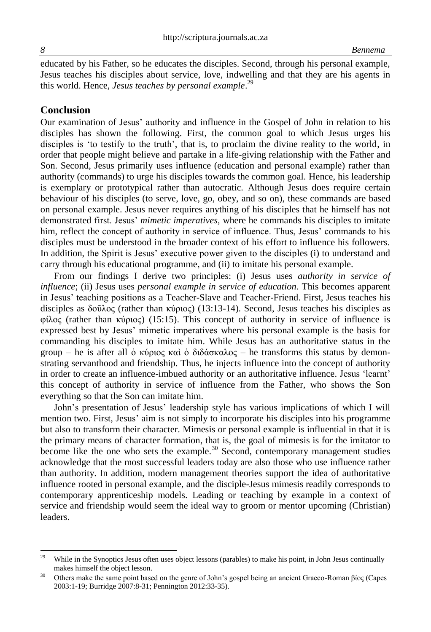educated by his Father, so he educates the disciples. Second, through his personal example, Jesus teaches his disciples about service, love, indwelling and that they are his agents in this world. Hence, *Jesus teaches by personal example*. 29

## **Conclusion**

Our examination of Jesus' authority and influence in the Gospel of John in relation to his disciples has shown the following. First, the common goal to which Jesus urges his disciples is 'to testify to the truth', that is, to proclaim the divine reality to the world, in order that people might believe and partake in a life-giving relationship with the Father and Son. Second, Jesus primarily uses influence (education and personal example) rather than authority (commands) to urge his disciples towards the common goal. Hence, his leadership is exemplary or prototypical rather than autocratic. Although Jesus does require certain behaviour of his disciples (to serve, love, go, obey, and so on), these commands are based on personal example. Jesus never requires anything of his disciples that he himself has not demonstrated first. Jesus' *mimetic imperatives*, where he commands his disciples to imitate him, reflect the concept of authority in service of influence. Thus, Jesus' commands to his disciples must be understood in the broader context of his effort to influence his followers. In addition, the Spirit is Jesus' executive power given to the disciples (i) to understand and carry through his educational programme, and (ii) to imitate his personal example.

From our findings I derive two principles: (i) Jesus uses *authority in service of influence*; (ii) Jesus uses *personal example in service of education*. This becomes apparent in Jesus' teaching positions as a Teacher-Slave and Teacher-Friend. First, Jesus teaches his disciples as δοῦλος (rather than κύριος) (13:13-14). Second, Jesus teaches his disciples as φίλος (rather than κύριος) (15:15). This concept of authority in service of influence is expressed best by Jesus' mimetic imperatives where his personal example is the basis for commanding his disciples to imitate him. While Jesus has an authoritative status in the group – he is after all ὁ κύριος καὶ ὁ διδάσκαλος – he transforms this status by demonstrating servanthood and friendship. Thus, he injects influence into the concept of authority in order to create an influence-imbued authority or an authoritative influence. Jesus 'learnt' this concept of authority in service of influence from the Father, who shows the Son everything so that the Son can imitate him.

John's presentation of Jesus' leadership style has various implications of which I will mention two. First, Jesus' aim is not simply to incorporate his disciples into his programme but also to transform their character. Mimesis or personal example is influential in that it is the primary means of character formation, that is, the goal of mimesis is for the imitator to become like the one who sets the example.<sup>30</sup> Second, contemporary management studies acknowledge that the most successful leaders today are also those who use influence rather than authority. In addition, modern management theories support the idea of authoritative influence rooted in personal example, and the disciple-Jesus mimesis readily corresponds to contemporary apprenticeship models. Leading or teaching by example in a context of service and friendship would seem the ideal way to groom or mentor upcoming (Christian) leaders.

l

<sup>&</sup>lt;sup>29</sup> While in the Synoptics Jesus often uses object lessons (parables) to make his point, in John Jesus continually makes himself the object lesson.

<sup>&</sup>lt;sup>30</sup> Others make the same point based on the genre of John's gospel being an ancient Graeco-Roman βίος (Capes 2003:1-19; Burridge 2007:8-31; Pennington 2012:33-35).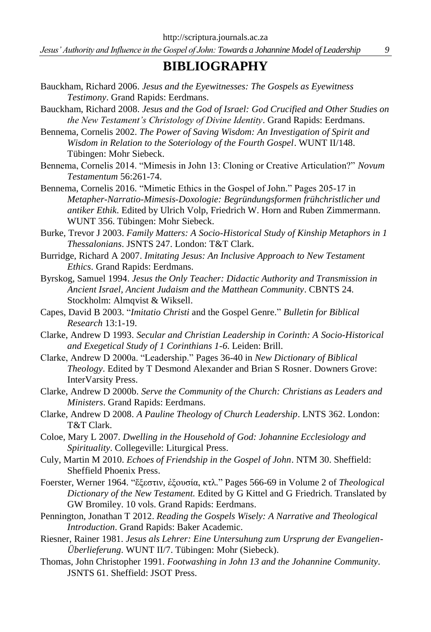## **BIBLIOGRAPHY**

- Bauckham, Richard 2006. *Jesus and the Eyewitnesses: The Gospels as Eyewitness Testimony*. Grand Rapids: Eerdmans.
- Bauckham, Richard 2008. *Jesus and the God of Israel: God Crucified and Other Studies on the New Testament's Christology of Divine Identity*. Grand Rapids: Eerdmans.
- Bennema, Cornelis 2002. *The Power of Saving Wisdom: An Investigation of Spirit and Wisdom in Relation to the Soteriology of the Fourth Gospel*. WUNT II/148. Tübingen: Mohr Siebeck.
- Bennema, Cornelis 2014. "Mimesis in John 13: Cloning or Creative Articulation?" *Novum Testamentum* 56:261-74.
- Bennema, Cornelis 2016. "Mimetic Ethics in the Gospel of John." Pages 205-17 in *Metapher-Narratio-Mimesis-Doxologie: Begründungsformen frühchristlicher und antiker Ethik*. Edited by Ulrich Volp, Friedrich W. Horn and Ruben Zimmermann. WUNT 356. Tübingen: Mohr Siebeck.
- Burke, Trevor J 2003. *Family Matters: A Socio-Historical Study of Kinship Metaphors in 1 Thessalonians*. JSNTS 247. London: T&T Clark.
- Burridge, Richard A 2007. *Imitating Jesus: An Inclusive Approach to New Testament Ethics*. Grand Rapids: Eerdmans.
- Byrskog, Samuel 1994. *Jesus the Only Teacher: Didactic Authority and Transmission in Ancient Israel, Ancient Judaism and the Matthean Community*. CBNTS 24. Stockholm: Almqvist & Wiksell.
- Capes, David B 2003. "*Imitatio Christi* and the Gospel Genre." *Bulletin for Biblical Research* 13:1-19.
- Clarke, Andrew D 1993. *Secular and Christian Leadership in Corinth: A Socio-Historical and Exegetical Study of 1 Corinthians 1-6*. Leiden: Brill.
- Clarke, Andrew D 2000a. "Leadership." Pages 36-40 in *New Dictionary of Biblical Theology*. Edited by T Desmond Alexander and Brian S Rosner. Downers Grove: InterVarsity Press.
- Clarke, Andrew D 2000b. *Serve the Community of the Church: Christians as Leaders and Ministers*. Grand Rapids: Eerdmans.
- Clarke, Andrew D 2008. *A Pauline Theology of Church Leadership*. LNTS 362. London: T&T Clark.
- Coloe, Mary L 2007. *Dwelling in the Household of God: Johannine Ecclesiology and Spirituality*. Collegeville: Liturgical Press.
- Culy, Martin M 2010. *Echoes of Friendship in the Gospel of John*. NTM 30. Sheffield: Sheffield Phoenix Press.
- Foerster, Werner 1964. "ἔξεστιν, ἐξουσία, κτλ." Pages 566-69 in Volume 2 of *Theological Dictionary of the New Testament.* Edited by G Kittel and G Friedrich. Translated by GW Bromiley. 10 vols. Grand Rapids: Eerdmans.
- Pennington, Jonathan T 2012. *Reading the Gospels Wisely: A Narrative and Theological Introduction*. Grand Rapids: Baker Academic.
- Riesner, Rainer 1981. *Jesus als Lehrer: Eine Untersuhung zum Ursprung der Evangelien-Überlieferung*. WUNT II/7. Tübingen: Mohr (Siebeck).
- Thomas, John Christopher 1991. *Footwashing in John 13 and the Johannine Community*. JSNTS 61. Sheffield: JSOT Press.